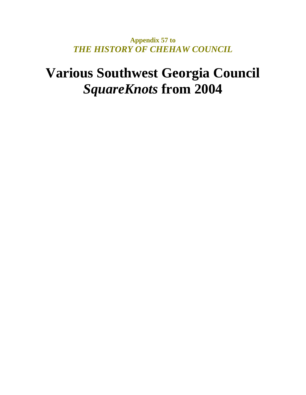**Appendix 57 to**  *THE HISTORY OF CHEHAW COUNCIL* 

# **Various Southwest Georgia Council**  *SquareKnots* **from 2004**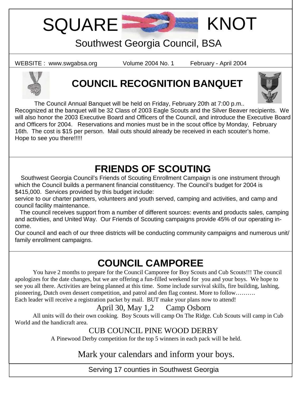SQUARE **SECTION** KNOT

# Southwest Georgia Council, BSA

WEBSITE : www.swgabsa.org Volume 2004 No. 1 February - April 2004



# **COUNCIL RECOGNITION BANQUET**



The Council Annual Banquet will be held on Friday, February 20th at 7:00 p.m..

Recognized at the banquet will be 32 Class of 2003 Eagle Scouts and the Silver Beaver recipients. We will also honor the 2003 Executive Board and Officers of the Council, and introduce the Executive Board and Officers for 2004. Reservations and monies must be in the scout office by Monday, February 16th. The cost is \$15 per person. Mail outs should already be received in each scouter's home. Hope to see you there!!!!!

# **FRIENDS OF SCOUTING**

 Southwest Georgia Council's Friends of Scouting Enrollment Campaign is one instrument through which the Council builds a permanent financial constituency. The Council's budget for 2004 is \$415,000. Services provided by this budget include:

service to our charter partners, volunteers and youth served, camping and activities, and camp and council facility maintenance.

 The council receives support from a number of different sources: events and products sales, camping and activities, and United Way. Our Friends of Scouting campaigns provide 45% of our operating income.

Our council and each of our three districts will be conducting community campaigns and numerous unit/ family enrollment campaigns.

# **COUNCIL CAMPOREE**

 You have 2 months to prepare for the Council Camporee for Boy Scouts and Cub Scouts!!! The council apologizes for the date changes, but we are offering a fun-filled weekend for you and your boys. We hope to see you all there. Activities are being planned at this time. Some include survival skills, fire building, lashing, pioneering, Dutch oven dessert competition, and patrol and den flag contest. More to follow……….

Each leader will receive a registration packet by mail. BUT make your plans now to attend!

# April 30, May 1,2 Camp Osborn

 All units will do their own cooking. Boy Scouts will camp On The Ridge. Cub Scouts will camp in Cub World and the handicraft area.

### CUB COUNCIL PINE WOOD DERBY

A Pinewood Derby competition for the top 5 winners in each pack will be held.

## Mark your calendars and inform your boys.

Serving 17 counties in Southwest Georgia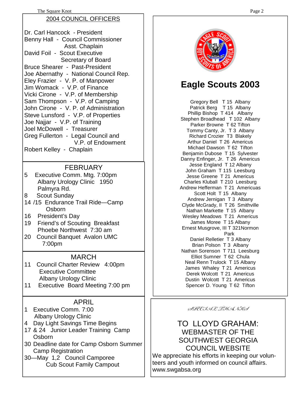#### The Square Knot Page 2

#### 2004 COUNCIL OFFICERS

Dr. Carl Hancock - President Benny Hall - Council Commissioner Asst. Chaplain David Foil - Scout Executive Secretary of Board Bruce Shearer - Past-President Joe Abernathy - National Council Rep. Eley Frazier - V. P. of Manpower Jim Womack - V.P. of Finance Vicki Cirone - V.P. of Membership Sam Thompson - V.P. of Camping John Cirone - V. P. of Administration Steve Lunsford - V.P. of Properties Joe Najjar - V.P. of Training Joel McDowell - Treasurer Greg Fullerton - Legal Council and V.P. of Endowment Robert Kelley - Chaplain

#### **FEBRUARY**

5 Executive Comm. Mtg. 7:00pm Albany Urology Clinic 1950 Palmyra Rd.

- 8 Scout Sunday
- 14 /15 Endurance Trail Ride—Camp Osborn
- 16 President's Day
- 19 Friend's of Scouting Breakfast Phoebe Northwest 7:30 am
- 20 Council Banquet Avalon UMC 7:00pm

#### MARCH

- 11 Council Charter Review 4:00pm Executive Committee Albany Urology Clinic
- 11 Executive Board Meeting 7:00 pm

#### APRIL

- 1 Executive Comm. 7:00 Albany Urology Clinic
- 4 Day Light Savings Time Begins
- 17 & 24 Junior Leader Training Camp Osborn
- 30 Deadline date for Camp Osborn Summer Camp Registration
- 30—May 1,2 Council Camporee Cub Scout Family Campout



# **Eagle Scouts 2003**

Gregory Bell T 15 Albany Patrick Berg T 15 Albany Phillip Bishop T 414 Albany Stephen Broadhead T 102 Albany Parker Browne T 62 Tifton Tommy Canty, Jr. T 3 Albany Richard Crozier T3 Blakely Arthur Daniel T 26 Americus Michael Dawson T 62 Tifton Benjamin Dubose T 15 Sylvester Danny Enfinger, Jr. T 26 Americus Jesse England T 12 Albany John Graham T 115 Leesburg Jesse Greene T 21 Americus Charles Kluball T 210 Leesburg Andrew Hefferman T 21 Americuas Scott Holt T 15 Albany Andrew Jernigan T 3 Albany Clyde McGrady, II T 26 Smithville Nathan Markette T 15 Albany Wesley Meadows T 21 Americus James Moree T 15 Albany Ernest Musgrove, III T 321Normon Park Daniel Relletier T 3 Albany Brian Polson T 3 Albany Nathan Sorenson T 711 Leesburg Elliot Sumner T 62 Chula Neal Renn Trulock T 15 Albany James Whaley T 21 Americus Derek Wolcott T 21 Americus Dustin Wolcott T 21 Americus Spencer D. Young T 62 Tifton

SPECIAL THANKS

#### TO LLOYD GRAHAM: WEBMASTER OF THE SOUTHWEST GEORGIA COUNCIL WEBSITE We appreciate his efforts in keeping our volunteers and youth informed on council affairs.

www.swgabsa.org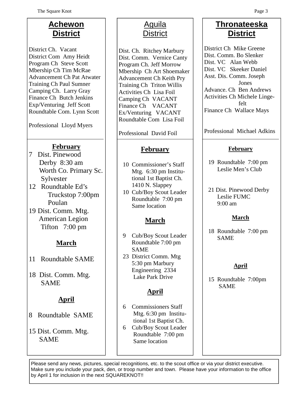# **Achewon District**

District Ch. Vacant District Com Amy Heidt Program Ch Steve Scott Mbership Ch Tim McRae Advancement Ch Pat Atwater Training Ch Paul Sumner Camping Ch. Larry Gray Finance Ch Butch Jenkins Exp/Venturing Jeff Scott Roundtable Com. Lynn Scott

Professional Lloyd Myers

### **February**

- 7 Dist. Pinewood Derby 8:30 am Worth Co. Primary Sc. Sylvester
- 12 Roundtable Ed's Truckstop 7:00pm Poulan
- 19 Dist. Comm. Mtg. American Legion Tifton 7:00 pm

## **March**

- 11 Roundtable SAME
- 18 Dist. Comm. Mtg. SAME

### **April**

- 8 Roundtable SAME
- 15 Dist. Comm. Mtg. SAME

# Aguila **District**

Dist. Ch. Ritchey Marbury Dist. Comm. Vernice Canty Program Ch. Jeff Morrow Mbership Ch Art Shoemaker Advancement Ch Keith Pry Training Ch Triton Willis Activities Ch Lisa Foil Camping Ch VACANT Finance Ch VACANT Ex/Venturing VACANT Roundtable Com Lisa Foil

Professional David Foil

### **February**

- 10 Commissioner's Staff Mtg. 6:30 pm Institu tional 1st Baptist Ch. 1410 N. Slappey
- 10 Cub/Boy Scout Leader Roundtable 7:00 pm Same location

## **March**

- 9 Cub/Boy Scout Leader Roundtable 7:00 pm SAME
- 23 District Comm. Mtg 5:30 pm Marbury Engineering 2334 Lake Park Drive

## **April**

- 6 Commissioners Staff Mtg. 6:30 pm Institu tional 1st Baptist Ch.
- 6 Cub/Boy Scout Leader Roundtable 7:00 pm Same location

## **Thronateeska District**

District Ch Mike Greene Dist. Comm. Bo Slenker Dist. VC Alan Webb Dist. VC Skeeker Daniel Asst. Dis. Comm. Joseph Jones Advance. Ch Ben Andrews Activities Ch Michele Linge felt Finance Ch Wallace Mays

Professional Michael Adkins

#### **February**

- 19 Roundtable 7:00 pm Leslie Men's Club
- 21 Dist. Pinewood Derby Leslie FUMC 9:00 am

#### **March**

18 Roundtable 7:00 pm SAME

### **April**

15 Roundtable 7:00pm SAME

Please send any news, pictures, special recognitions, etc. to the scout office or via your district executive. Make sure you include your pack, den, or troop number and town. Please have your information to the office by April 1 for inclusion in the next SQUAREKNOT!!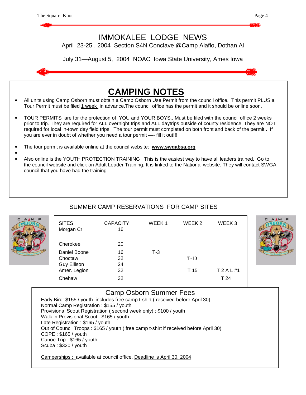



#### SUMMER CAMP RESERVATIONS FOR CAMP SITES

| AAM P | <b>SITES</b><br>Morgan Cr<br>Cherokee<br>Daniel Boone<br>Choctaw<br>Guy Ellison<br>Amer. Legion<br>Chehaw | <b>CAPACITY</b><br>16<br>20<br>16<br>32<br>24<br>32<br>32 | WEEK <sub>1</sub><br>$T-3$ | WEEK <sub>2</sub><br>$T-10$<br>T 15 | WEEK <sub>3</sub><br>T 2 A L #1<br>T 24 | M P<br>c |
|-------|-----------------------------------------------------------------------------------------------------------|-----------------------------------------------------------|----------------------------|-------------------------------------|-----------------------------------------|----------|
|       |                                                                                                           |                                                           |                            |                                     |                                         |          |

#### Camp Osborn Summer Fees

Early Bird: \$155 / youth includes free camp t-shirt ( received before April 30) Normal Camp Registration : \$155 / youth Provisional Scout Registration ( second week only) : \$100 / youth Walk in Provisional Scout : \$165 / youth Late Registration : \$165 / youth Out of Council Troops : \$165 / youth ( free camp t-shirt if received before April 30) COPE : \$165 / youth Canoe Trip : \$165 / youth Scuba : \$320 / youth

Camperships : available at council office. Deadline is April 30, 2004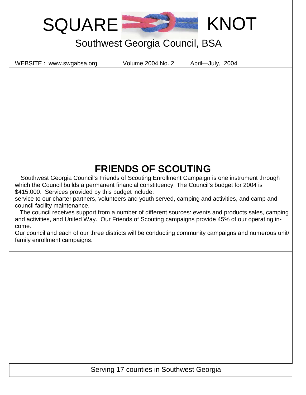SQUARE **KNOT** 

# Southwest Georgia Council, BSA

WEBSITE : www.swgabsa.org Volume 2004 No. 2 April—July, 2004

# **FRIENDS OF SCOUTING**

 Southwest Georgia Council's Friends of Scouting Enrollment Campaign is one instrument through which the Council builds a permanent financial constituency. The Council's budget for 2004 is \$415,000. Services provided by this budget include:

service to our charter partners, volunteers and youth served, camping and activities, and camp and council facility maintenance.

 The council receives support from a number of different sources: events and products sales, camping and activities, and United Way. Our Friends of Scouting campaigns provide 45% of our operating income.

Our council and each of our three districts will be conducting community campaigns and numerous unit/ family enrollment campaigns.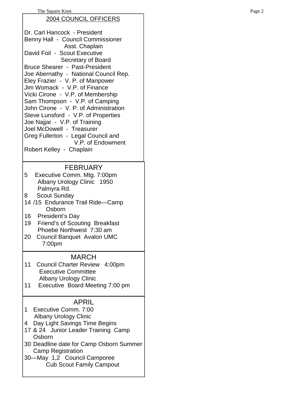#### The Square Knot Page 2 2004 COUNCIL OFFICERS Dr. Carl Hancock - President Benny Hall - Council Commissioner Asst. Chaplain David Foil - Scout Executive Secretary of Board Bruce Shearer - Past-President Joe Abernathy - National Council Rep. Eley Frazier - V. P. of Manpower Jim Womack - V.P. of Finance Vicki Cirone - V.P. of Membership Sam Thompson - V.P. of Camping John Cirone - V. P. of Administration Steve Lunsford - V.P. of Properties Joe Najjar - V.P. of Training Joel McDowell - Treasurer Greg Fullerton - Legal Council and V.P. of Endowment Robert Kelley - Chaplain FEBRUARY 5 Executive Comm. Mtg. 7:00pm Albany Urology Clinic 1950 Palmyra Rd. 8 Scout Sunday 14 /15 Endurance Trail Ride—Camp **Osborn** 16 President's Day 19 Friend's of Scouting Breakfast Phoebe Northwest 7:30 am 20 Council Banquet Avalon UMC 7:00pm MARCH 11 Council Charter Review 4:00pm Executive Committee Albany Urology Clinic 11 Executive Board Meeting 7:00 pm APRIL

- 1 Executive Comm. 7:00 Albany Urology Clinic
- 4 Day Light Savings Time Begins
- 17 & 24 Junior Leader Training Camp Osborn
- 30 Deadline date for Camp Osborn Summer Camp Registration
- 30—May 1,2 Council Camporee Cub Scout Family Campout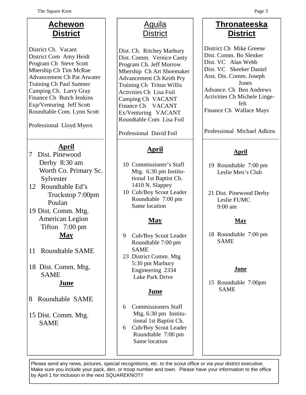# **Achewon District**

District Ch. Vacant District Com Amy Heidt Program Ch Steve Scott Mbership Ch Tim McRae Advancement Ch Pat Atwater Training Ch Paul Sumner Camping Ch. Larry Gray Finance Ch Butch Jenkins Exp/Venturing Jeff Scott Roundtable Com. Lynn Scott

Professional Lloyd Myers

### **April**

- 7 Dist. Pinewood Derby 8:30 am Worth Co. Primary Sc. Sylvester
- 12 Roundtable Ed's Truckstop 7:00pm Poulan
- 19 Dist. Comm. Mtg. American Legion Tifton 7:00 pm **May**
- 11 Roundtable SAME
- 18 Dist. Comm. Mtg. SAME **June**
- 8 Roundtable SAME
- 15 Dist. Comm. Mtg. SAME

# Aguila **District**

Dist. Ch. Ritchey Marbury Dist. Comm. Vernice Canty Program Ch. Jeff Morrow Mbership Ch Art Shoemaker Advancement Ch Keith Pry Training Ch Triton Willis Activities Ch Lisa Foil Camping Ch VACANT Finance Ch VACANT Ex/Venturing VACANT Roundtable Com Lisa Foil

Professional David Foil

## **April**

- 10 Commissioner's Staff Mtg. 6:30 pm Institu tional 1st Baptist Ch. 1410 N. Slappey
- 10 Cub/Boy Scout Leader Roundtable 7:00 pm Same location

### **May**

- 9 Cub/Boy Scout Leader Roundtable 7:00 pm SAME
- 23 District Comm. Mtg 5:30 pm Marbury Engineering 2334 Lake Park Drive

### **June**

- 6 Commissioners Staff Mtg. 6:30 pm Institu tional 1st Baptist Ch.
- 6 Cub/Boy Scout Leader Roundtable 7:00 pm Same location

## **Thronateeska District**

District Ch Mike Greene Dist. Comm. Bo Slenker Dist. VC Alan Webb Dist. VC Skeeker Daniel Asst. Dis. Comm. Joseph Jones Advance. Ch Ben Andrews Activities Ch Michele Linge felt Finance Ch Wallace Mays

Professional Michael Adkins

### **April**

- 19 Roundtable 7:00 pm Leslie Men's Club
- 21 Dist. Pinewood Derby Leslie FUMC 9:00 am

### **May**

18 Roundtable 7:00 pm SAME

#### **June**

15 Roundtable 7:00pm SAME

Please send any news, pictures, special recognitions, etc. to the scout office or via your district executive. Make sure you include your pack, den, or troop number and town. Please have your information to the office by April 1 for inclusion in the next SQUAREKNOT!!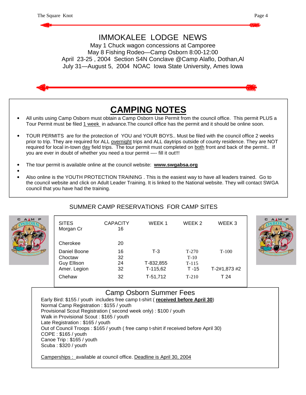# IMMOKALEE LODGE NEWS May 1 Chuck wagon concessions at Camporee May 8 Fishing Rodeo—Camp Osborn 8:00-12:00 April 23-25 , 2004 Section S4N Conclave @Camp Alaflo, Dothan,Al July 31—August 5, 2004 NOAC Iowa State University, Ames Iowa **CAMPING NOTES** • All units using Camp Osborn must obtain a Camp Osborn Use Permit from the council office. This permit PLUS a Tour Permit must be filed 1 week in advance.The council office has the permit and it should be online soon. • TOUR PERMITS are for the protection of YOU and YOUR BOYS.. Must be filed with the council office 2 weeks prior to trip. They are required for ALL overnight trips and ALL daytrips outside of county residence. They are NOT required for local in-town day field trips. The tour permit must completed on both front and back of the permit.. If you are ever in doubt of whether you need a tour permit —- fill it out!!! • The tour permit is available online at the council website: **www.swgabsa.org** • • Also online is the YOUTH PROTECTION TRAINING . This is the easiest way to have all leaders trained. Go to

the council website and click on Adult Leader Training. It is linked to the National website. They will contact SWGA council that you have had the training.

### SUMMER CAMP RESERVATIONS FOR CAMP SITES

| М<br>P | <b>SITES</b><br>Morgan Cr | <b>CAPACITY</b><br>16 | WEEK <sub>1</sub> | WEEK <sub>2</sub> | WEEK3        |
|--------|---------------------------|-----------------------|-------------------|-------------------|--------------|
|        | Cherokee                  | 20                    |                   |                   |              |
|        | Daniel Boone              | 16                    | $T-3$             | $T-270$           | $T-100$      |
|        | Choctaw                   | 32                    |                   | $T-10$            |              |
|        | <b>Guy Ellison</b>        | 24                    | T-832,855         | $T-115$           |              |
|        | Amer. Legion              | 32                    | $T-115,62$        | $T - 15$          | T-2#1,873 #2 |
|        | Chehaw                    | 32                    | $T-51,712$        | $T-210$           | T 24         |



#### Camp Osborn Summer Fees

Early Bird: \$155 / youth includes free camp t-shirt ( **received before April 30**) Normal Camp Registration : \$155 / youth Provisional Scout Registration ( second week only) : \$100 / youth Walk in Provisional Scout : \$165 / youth Late Registration : \$165 / youth Out of Council Troops : \$165 / youth ( free camp t-shirt if received before April 30) COPE : \$165 / youth Canoe Trip : \$165 / youth Scuba : \$320 / youth

Camperships : available at council office. Deadline is April 30, 2004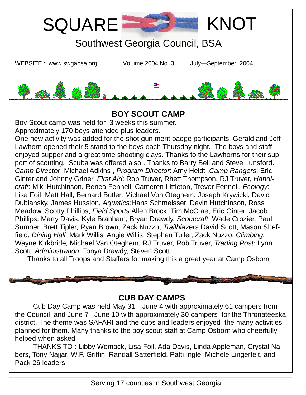

## **BOY SCOUT CAMP**

Boy Scout camp was held for 3 weeks this summer.

Approximately 170 boys attended plus leaders.

One new activity was added for the shot gun merit badge participants. Gerald and Jeff Lawhorn opened their 5 stand to the boys each Thursday night. The boys and staff enjoyed supper and a great time shooting clays. Thanks to the Lawhorns for their support of scouting. Scuba was offered also . Thanks to Barry Bell and Steve Lunsford. *Camp Director*: Michael Adkins , *Program Director*: Amy Heidt ,*Camp Rangers*: Eric Ginter and Johnny Griner, *First Aid*: Rob Truver, Rhett Thompson, RJ Truver, *Handicraft*: Miki Hutchinson, Renea Fennell, Cameren Littleton, Trevor Fennell, *Ecology*: Lisa Foil, Matt Hall, Bernard Butler, Michael Von Oteghem, Joseph Krywicki, David Dubiansky, James Hussion, *Aquatics:*Hans Schmeisser, Devin Hutchinson, Ross Meadow, Scotty Phillips, *Field Sports:*Allen Brock, Tim McCrae, Eric Ginter, Jacob Phillips, Marty Davis, Kyle Branham, Bryan Drawdy, *Scoutcraft*: Wade Crozier, Paul Sumner, Brett Tipler, Ryan Brown, Zack Nuzzo, *Trailblazers*:David Scott, Mason Sheffield, *Dining Hall:* Mark Willis, Angie Willis, Stephen Tuller, Zack Nuzzo, *Climbing:*  Wayne Kirkbride*,* Michael Van Oteghem, RJ Truver, Rob Truver, *Trading Post*: Lynn Scott, *Administration:* Tonya Drawdy, Steven Scott

Thanks to all Troops and Staffers for making this a great year at Camp Osborn

## **CUB DAY CAMPS**

 Cub Day Camp was held May 31—June 4 with approximately 61 campers from the Council and June 7– June 10 with approximately 30 campers for the Thronateeska district. The theme was SAFARI and the cubs and leaders enjoyed the many activities planned for them. Many thanks to the boy scout staff at Camp Osborn who cheerfully helped when asked.

 THANKS TO : Libby Womack, Lisa Foil, Ada Davis, Linda Appleman, Crystal Nabers, Tony Najjar, W.F. Griffin, Randall Satterfield, Patti Ingle, Michele Lingerfelt, and Pack 26 leaders.

Serving 17 counties in Southwest Georgia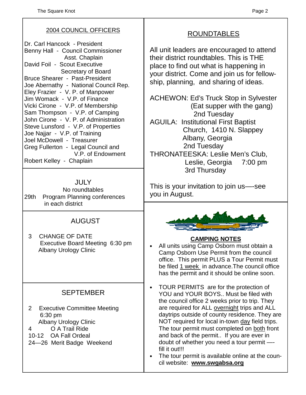### 2004 COUNCIL OFFICERS

Dr. Carl Hancock - President Benny Hall - Council Commissioner Asst. Chaplain David Foil - Scout Executive Secretary of Board Bruce Shearer - Past-President Joe Abernathy - National Council Rep. Eley Frazier - V. P. of Manpower Jim Womack - V.P. of Finance Vicki Cirone - V.P. of Membership Sam Thompson - V.P. of Camping John Cirone - V. P. of Administration Steve Lunsford - V.P. of Properties Joe Najjar - V.P. of Training Joel McDowell - Treasurer Greg Fullerton - Legal Council and V.P. of Endowment Robert Kelley - Chaplain

JULY No roundtables 29th Program Planning conferences in each district

### AUGUST

3 CHANGE OF DATE Executive Board Meeting 6:30 pm Albany Urology Clinic

## SEPTEMBER

- 2 Executive Committee Meeting 6:30 pm Albany Urology Clinic
- 4 O A Trail Ride
- 10-12 OA Fall Ordeal
- 24—26 Merit Badge Weekend

## ROUNDTABLES

All unit leaders are encouraged to attend their district roundtables. This is THE place to find out what is happening in your district. Come and join us for fellowship, planning, and sharing of ideas.

ACHEWON: Ed's Truck Stop in Sylvester (Eat supper with the gang) 2nd Tuesday AGUILA: Institutional First Baptist

 Church, 1410 N. Slappey Albany, Georgia 2nd Tuesday

THRONATEESKA: Leslie Men's Club, Leslie, Georgia 7:00 pm 3rd Thursday

This is your invitation to join us—-see you in August.



### **CAMPING NOTES**

- All units using Camp Osborn must obtain a Camp Osborn Use Permit from the council office. This permit PLUS a Tour Permit must be filed 1 week in advance.The council office has the permit and it should be online soon.
- TOUR PERMITS are for the protection of YOU and YOUR BOYS.. Must be filed with the council office 2 weeks prior to trip. They are required for ALL overnight trips and ALL daytrips outside of county residence. They are NOT required for local in-town day field trips. The tour permit must completed on both front and back of the permit.. If you are ever in doubt of whether you need a tour permit fill it out!!!
- The tour permit is available online at the council website: **www.swgabsa.org**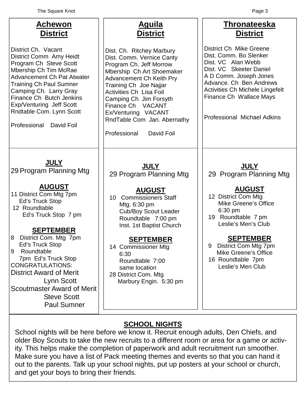| <b>Achewon</b><br><b>District</b>                                                                                                                                                                                                                                                                                                                                                                                                | <u>Aguila</u><br><b>District</b>                                                                                                                                                                                                                                                                                                          | <b>Thronateeska</b><br><b>District</b>                                                                                                                                                                                                                                                   |
|----------------------------------------------------------------------------------------------------------------------------------------------------------------------------------------------------------------------------------------------------------------------------------------------------------------------------------------------------------------------------------------------------------------------------------|-------------------------------------------------------------------------------------------------------------------------------------------------------------------------------------------------------------------------------------------------------------------------------------------------------------------------------------------|------------------------------------------------------------------------------------------------------------------------------------------------------------------------------------------------------------------------------------------------------------------------------------------|
| District Ch. Vacant<br>District Comm Amy Heidt<br>Program Ch Steve Scott<br>Mbership Ch Tim McRae<br><b>Advancement Ch Pat Atwater</b><br><b>Training Ch Paul Sumner</b><br>Camping Ch. Larry Gray<br>Finance Ch Butch Jenkins<br>Exp/Venturing Jeff Scott<br>Rndtable Com. Lynn Scott<br>Professional<br>David Foil                                                                                                             | Dist. Ch. Ritchey Marbury<br>Dist. Comm. Vernice Canty<br>Program Ch. Jeff Morrow<br>Mbership Ch Art Shoemaker<br>Advancement Ch Keith Pry<br>Training Ch Joe Najjar<br><b>Activities Ch Lisa Foil</b><br>Camping Ch Jim Forsyth<br>Finance Ch VACANT<br>Ex/Venturing VACANT<br>RndTable Com Jan. Abernathy<br>Professional<br>David Foil | District Ch Mike Greene<br>Dist. Comm. Bo Slenker<br>Dist. VC Alan Webb<br>Dist. VC Skeeter Daniel<br>A D Comm. Joseph Jones<br>Advance. Ch Ben Andrews<br><b>Activities Ch Michele Lingefelt</b><br>Finance Ch Wallace Mays<br><b>Professional Michael Adkins</b>                       |
| <b>JULY</b><br>29 Program Planning Mtg<br><b>AUGUST</b><br>11 District Com Mtg 7pm<br><b>Ed's Truck Stop</b><br>12 Roundtable<br>Ed's Truck Stop 7 pm<br><b>SEPTEMBER</b><br>District Com. Mtg 7pm<br>8<br>Ed's Truck Stop<br>Roundtable<br>9<br>7pm Ed's Truck Stop<br><b>CONGRATULATIONS:</b><br><b>District Award of Merit</b><br>Lynn Scott<br><b>Scoutmaster Award of Merit</b><br><b>Steve Scott</b><br><b>Paul Sumner</b> | <b>JULY</b><br>29 Program Planning Mtg<br><b>AUGUST</b><br>10 Commissioners Staff<br>Mtg. 6:30 pm<br><b>Cub/Boy Scout Leader</b><br>Roundtable 7:00 pm<br>Inst. 1st Baptist Church<br><b>SEPTEMBER</b><br>14 Commissioner Mtg<br>6:30<br>Roundtable 7:00<br>same location<br>28 District Com. Mtg<br>Marbury Engin. 5:30 pm               | <b>JULY</b><br>29 Program Planning Mtg<br><b>AUGUST</b><br>12 District Com Mtg<br>Mike Greene's Office<br>6:30 pm<br>19 Roundtable 7 pm<br>Leslie's Men's Club<br><u>SEPTEMBER</u><br>District Com Mtg 7pm<br>9<br><b>Mike Greene's Office</b><br>16 Roundtable 7pm<br>Leslie's Men Club |
|                                                                                                                                                                                                                                                                                                                                                                                                                                  |                                                                                                                                                                                                                                                                                                                                           |                                                                                                                                                                                                                                                                                          |

### **SCHOOL NIGHTS**

School nights will be here before we know it. Recruit enough adults, Den Chiefs, and older Boy Scouts to take the new recruits to a different room or area for a game or activity. This helps make the completion of paperwork and adult recruitment run smoother. Make sure you have a list of Pack meeting themes and events so that you can hand it out to the parents. Talk up your school nights, put up posters at your school or church, and get your boys to bring their friends.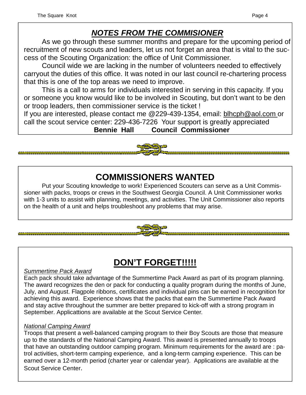# *NOTES FROM THE COMMISIONER*

 As we go through these summer months and prepare for the upcoming period of recruitment of new scouts and leaders, let us not forget an area that is vital to the success of the Scouting Organization: the office of Unit Commissioner.

 Council wide we are lacking in the number of volunteers needed to effectively carryout the duties of this office. It was noted in our last council re-chartering process that this is one of the top areas we need to improve.

 This is a call to arms for individuals interested in serving in this capacity. If you or someone you know would like to be involved in Scouting, but don't want to be den or troop leaders, then commissioner service is the ticket !

If you are interested, please contact me @229-439-1354, email: blhcph@aol.com or call the scout service center: 229-436-7226 Your support is greatly appreciated

**Bennie Hall Council Commissioner**

# **COMMISSIONERS WANTED**

 Put your Scouting knowledge to work! Experienced Scouters can serve as a Unit Commissioner with packs, troops or crews in the Southwest Georgia Council. A Unit Commissioner works with 1-3 units to assist with planning, meetings, and activities. The Unit Commissioner also reports on the health of a unit and helps troubleshoot any problems that may arise.

# **DON'T FORGET!!!!!**

#### *Summertime Pack Award*

,,,,,,,,,,,,,,,,

Each pack should take advantage of the Summertime Pack Award as part of its program planning. The award recognizes the den or pack for conducting a quality program during the months of June, July, and August. Flagpole ribbons, certificates and individual pins can be earned in recognition for achieving this award. Experience shows that the packs that earn the Summertime Pack Award and stay active throughout the summer are better prepared to kick-off with a strong program in September. Applicattions are available at the Scout Service Center*.* 

#### *National Camping Award*

Troops that present a well-balanced camping program to their Boy Scouts are those that measure up to the standards of the National Camping Award. This award is presented annually to troops that have an outstanding outdoor camping program. Minimum requirements for the award are : patrol activities, short-term camping experience, and a long-term camping experience. This can be earned over a 12-month period (charter year or calendar year). Applications are available at the Scout Service Center.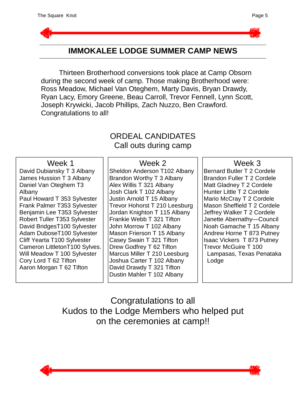



## **IMMOKALEE LODGE SUMMER CAMP NEWS**

 Thirteen Brotherhood conversions took place at Camp Obsorn during the second week of camp. Those making Brotherhood were: Ross Meadow, Michael Van Oteghem, Marty Davis, Bryan Drawdy, Ryan Lacy, Emory Greene, Beau Carroll, Trevor Fennell, Lynn Scott, Joseph Krywicki, Jacob Phillips, Zach Nuzzo, Ben Crawford. Congratulations to all!

### ORDEAL CANDIDATES Call outs during camp

#### Week 1

David Dubiansky T 3 Albany James Hussion T 3 Albany Daniel Van Oteghem T3 Albany Paul Howard T 353 Sylvester Frank Palmer T353 Sylvester Benjamin Lee T353 Sylvester Robert Tuller T353 Sylvester David BridgesT100 Sylvester Adam DuboseT100 Sylvester Cliff Yearta T100 Sylvester Cameron LittletonT100 Sylves. Will Meadow T 100 Sylvester Cory Lord T 62 Tifton Aaron Morgan T 62 Tifton

#### Week 2

Sheldon Anderson T102 Albany Brandon Worthy T 3 Albany Alex Willis T 321 Albany Josh Clark T 102 Albany Justin Arnold T 15 Albany Trevor Hohorst T 210 Leesburg Jordan Knighton T 115 Albany Frankie Webb T 321 Tifton John Morrow T 102 Albany Mason Frierson T 15 Albany Casey Swain T 321 Tifton Drew Godfrey T 62 Tifton Marcus Miller T 210 Leesburg Joshua Carter T 102 Albany David Drawdy T 321 Tifton Dustin Mahler T 102 Albany

#### Week 3

Bernard Butler T 2 Cordele Brandon Fuller T 2 Cordele Matt Gladney T 2 Cordele Hunter Little T 2 Cordele Mario McCray T 2 Cordele Mason Sheffield T 2 Cordele Jeffrey Walker T 2 Cordele Janette Abernathy—Council Noah Gamache T 15 Albany Andrew Horne T 873 Putney Isaac Vickers T 873 Putney Trevor McGuire T 100 Lampasas, Texas Penataka Lodge

# Congratulations to all Kudos to the Lodge Members who helped put on the ceremonies at camp!!



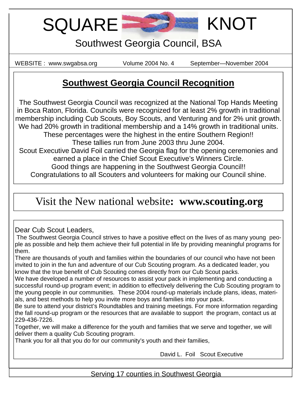SQUARE **WE KNOT** 

# Southwest Georgia Council, BSA

WEBSITE : www.swgabsa.org Volume 2004 No. 4 September—November 2004

# **Southwest Georgia Council Recognition**

The Southwest Georgia Council was recognized at the National Top Hands Meeting in Boca Raton, Florida. Councils were recognized for at least 2% growth in traditional membership including Cub Scouts, Boy Scouts, and Venturing and for 2% unit growth. We had 20% growth in traditional membership and a 14% growth in traditional units. These percentages were the highest in the entire Southern Region!! These tallies run from June 2003 thru June 2004. Scout Executive David Foil carried the Georgia flag for the opening ceremonies and earned a place in the Chief Scout Executive's Winners Circle. Good things are happening in the Southwest Georgia Council!! Congratulations to all Scouters and volunteers for making our Council shine.

# Visit the New national website**: www.scouting.org**

### Dear Cub Scout Leaders,

| The Southwest Georgia Council strives to have a positive effect on the lives of as many young peo-      |
|---------------------------------------------------------------------------------------------------------|
| ple as possible and help them achieve their full potential in life by providing meaningful programs for |
| them.                                                                                                   |

There are thousands of youth and families within the boundaries of our council who have not been invited to join in the fun and adventure of our Cub Scouting program. As a dedicated leader, you know that the true benefit of Cub Scouting comes directly from our Cub Scout packs.

We have developed a number of resources to assist your pack in implementing and conducting a successful round-up program event; in addition to effectively delivering the Cub Scouting program to the young people in our communities. These 2004 round-up materials include plans, ideas, materials, and best methods to help you invite more boys and families into your pack.

Be sure to attend your district's Roundtables and training meetings. For more information regarding the fall round-up program or the resources that are available to support the program, contact us at 229-436-7226.

Together, we will make a difference for the youth and families that we serve and together, we will deliver them a quality Cub Scouting program.

Thank you for all that you do for our community's youth and their families,

David L. Foil Scout Executive

Serving 17 counties in Southwest Georgia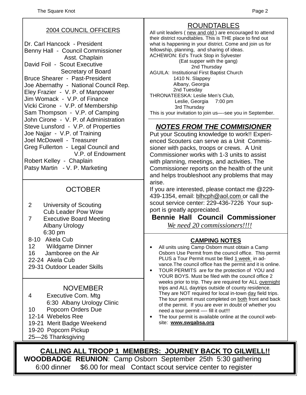#### 2004 COUNCIL OFFICERS

Dr. Carl Hancock - President Benny Hall - Council Commissioner Asst. Chaplain David Foil - Scout Executive Secretary of Board Bruce Shearer - Past-President Joe Abernathy - National Council Rep. Eley Frazier - V. P. of Manpower Jim Womack - V.P. of Finance Vicki Cirone - V.P. of Membership Sam Thompson - V.P. of Camping John Cirone - V. P. of Administration Steve Lunsford - V.P. of Properties Joe Najjar - V.P. of Training Joel McDowell - Treasurer Greg Fullerton - Legal Council and V.P. of Endowment Robert Kelley - Chaplain Patsy Martin - V. P. Marketing

#### **OCTOBER**

- 2 University of Scouting Cub Leader Pow Wow
- 7 Executive Board Meeting Albany Urology 6:30 pm
- 8-10 Akela Cub
- 12 Wildgame Dinner
- 16 Jamboree on the Air
- 22-24 Akela Cub
- 29-31 Outdoor Leader Skills

#### NOVEMBER

- 4 Executive Com. Mtg 6:30 Albany Urology Clinic
- 10 Popcorn Orders Due
- 12-14 Webelos Ree
- 19-21 Merit Badge Weekend
- 19-20 Popcorn Pickup
- 25—26 Thanksgiving

# ROUNDTABLES

All unit leaders ( new and old ) are encouraged to attend their district roundtables. This is THE place to find out what is happening in your district. Come and join us for fellowship, planning, and sharing of ideas. ACHEWON: Ed's Truck Stop in Sylvester (Eat supper with the gang) 2nd Thursday AGUILA: Institutional First Baptist Church 1410 N. Slappey Albany, Georgia 2nd Tuesday THRONATEESKA: Leslie Men's Club, Leslie, Georgia 7:00 pm 3rd Thursday This is your invitation to join us—-see you in September.

### *NOTES FROM THE COMMISIONER*

Put your Scouting knowledge to work!! Experienced Scouters can serve as a Unit Commissioner with packs, troops or crews. A Unit Commissioner works with 1-3 units to assist with planning, meetings, and activities. The Commissioner reports on the health of the unit and helps troubleshoot any problems that may arise.

If you are interested, please contact me @229- 439-1354, email: blhcph@aol.com or call the scout service center: 229-436-7226 Your support is greatly appreciated.

**Bennie Hall Council Commissioner** *We need 20 commissioners!!!!*

#### **CAMPING NOTES**

- All units using Camp Osborn must obtain a Camp Osborn Use Permit from the council office. This permit PLUS a Tour Permit must be filed 1 week in advance.The council office has the permit and it is online.
- TOUR PERMITS are for the protection of YOU and YOUR BOYS. Must be filed with the council office 2 weeks prior to trip. They are required for ALL overnight trips and ALL daytrips outside of county residence. They are NOT required for local in-town day field trips. The tour permit must completed on both front and back of the permit. If you are ever in doubt of whether you need a tour permit —- fill it out!!!
- The tour permit is available online at the council website: **www.swgabsa.org**

**CALLING ALL TROOP 1 MEMBERS: JOURNEY BACK TO GILWELL!! WOODBADGE REUNION**: Camp Osborn September 25th 5:30 gathering 6:00 dinner \$6.00 for meal Contact scout service center to register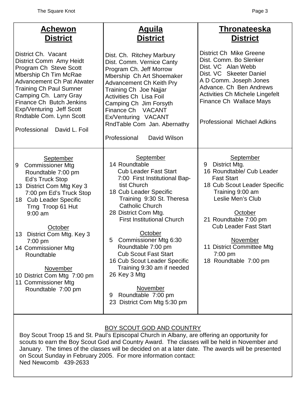| Achewon<br><b>District</b>                                                                                                                                                                                                                                                                                                                                                                          | <u>Aguila</u><br><b>District</b>                                                                                                                                                                                                                                                                                                                                                                                                                                                                                  | <b>Thronateeska</b><br><b>District</b>                                                                                                                                                                                                                                                                        |  |  |  |
|-----------------------------------------------------------------------------------------------------------------------------------------------------------------------------------------------------------------------------------------------------------------------------------------------------------------------------------------------------------------------------------------------------|-------------------------------------------------------------------------------------------------------------------------------------------------------------------------------------------------------------------------------------------------------------------------------------------------------------------------------------------------------------------------------------------------------------------------------------------------------------------------------------------------------------------|---------------------------------------------------------------------------------------------------------------------------------------------------------------------------------------------------------------------------------------------------------------------------------------------------------------|--|--|--|
| District Ch. Vacant<br>District Comm Amy Heidt<br>Program Ch Steve Scott<br>Mbership Ch Tim McRae<br><b>Advancement Ch Pat Atwater</b><br><b>Training Ch Paul Sumner</b><br>Camping Ch. Larry Gray<br>Finance Ch Butch Jenkins<br>Exp/Venturing Jeff Scott<br>Rndtable Com. Lynn Scott<br>Professional<br>David L. Foil                                                                             | Dist. Ch. Ritchey Marbury<br>Dist. Comm. Vernice Canty<br>Program Ch. Jeff Morrow<br>Mbership Ch Art Shoemaker<br><b>Advancement Ch Keith Pry</b><br>Training Ch Joe Najjar<br><b>Activities Ch Lisa Foil</b><br>Camping Ch Jim Forsyth<br>Finance Ch VACANT<br>Ex/Venturing VACANT<br>RndTable Com Jan. Abernathy<br>Professional<br>David Wilson                                                                                                                                                                | District Ch Mike Greene<br>Dist. Comm. Bo Slenker<br>Dist. VC Alan Webb<br>Dist. VC Skeeter Daniel<br>A D Comm. Joseph Jones<br>Advance. Ch Ben Andrews<br><b>Activities Ch Michele Lingefelt</b><br>Finance Ch Wallace Mays<br><b>Professional Michael Adkins</b>                                            |  |  |  |
| September<br><b>Commissioner Mtg</b><br>9<br>Roundtable 7:00 pm<br>Ed's Truck Stop<br>13 District Com Mtg Key 3<br>7:00 pm Ed's Truck Stop<br>18 Cub Leader Specific<br>Trng Troop 61 Hut<br>$9:00$ am<br>October<br>District Com Mtg. Key 3<br>13<br>7:00 pm<br>14 Commissioner Mtg<br>Roundtable<br>November<br>10 District Com Mtg 7:00 pm<br>11 Commissioner Mtg<br>Roundtable 7:00 pm          | September<br>14 Roundtable<br><b>Cub Leader Fast Start</b><br>7:00 First Institutional Bap-<br>tist Church<br>18 Cub Leader Specific<br>Training 9:30 St. Theresa<br><b>Catholic Church</b><br>28 District Com Mtg.<br><b>First Institutional Church</b><br>October<br><b>Commissioner Mtg 6:30</b><br>5<br>Roundtable 7:00 pm<br><b>Cub Scout Fast Start</b><br>16 Cub Scout Leader Specific<br>Training 9:30 am if needed<br>26 Key 3 Mtg<br>November<br>Roundtable 7:00 pm<br>9<br>23 District Com Mtg 5:30 pm | September<br>9<br>District Mtg.<br>16 Roundtable/ Cub Leader<br><b>Fast Start</b><br>18 Cub Scout Leader Specific<br>Training 9:00 am<br>Leslie Men's Club<br>October<br>21 Roundtable 7:00 pm<br><b>Cub Leader Fast Start</b><br>November<br>11 District Committee Mtg<br>$7:00$ pm<br>18 Roundtable 7:00 pm |  |  |  |
| BOY SCOUT GOD AND COUNTRY<br>Boy Scout Troop 15 and St. Paul's Episcopal Church in Albany, are offering an opportunity for<br>scouts to earn the Boy Scout God and Country Award. The classes will be held in November and<br>January. The times of the classes will be decided on at a later date. The awards will be presented<br>on Scout Sunday in February 2005. For more information contact: |                                                                                                                                                                                                                                                                                                                                                                                                                                                                                                                   |                                                                                                                                                                                                                                                                                                               |  |  |  |

Ned Newcomb<sup>439-2633</sup>